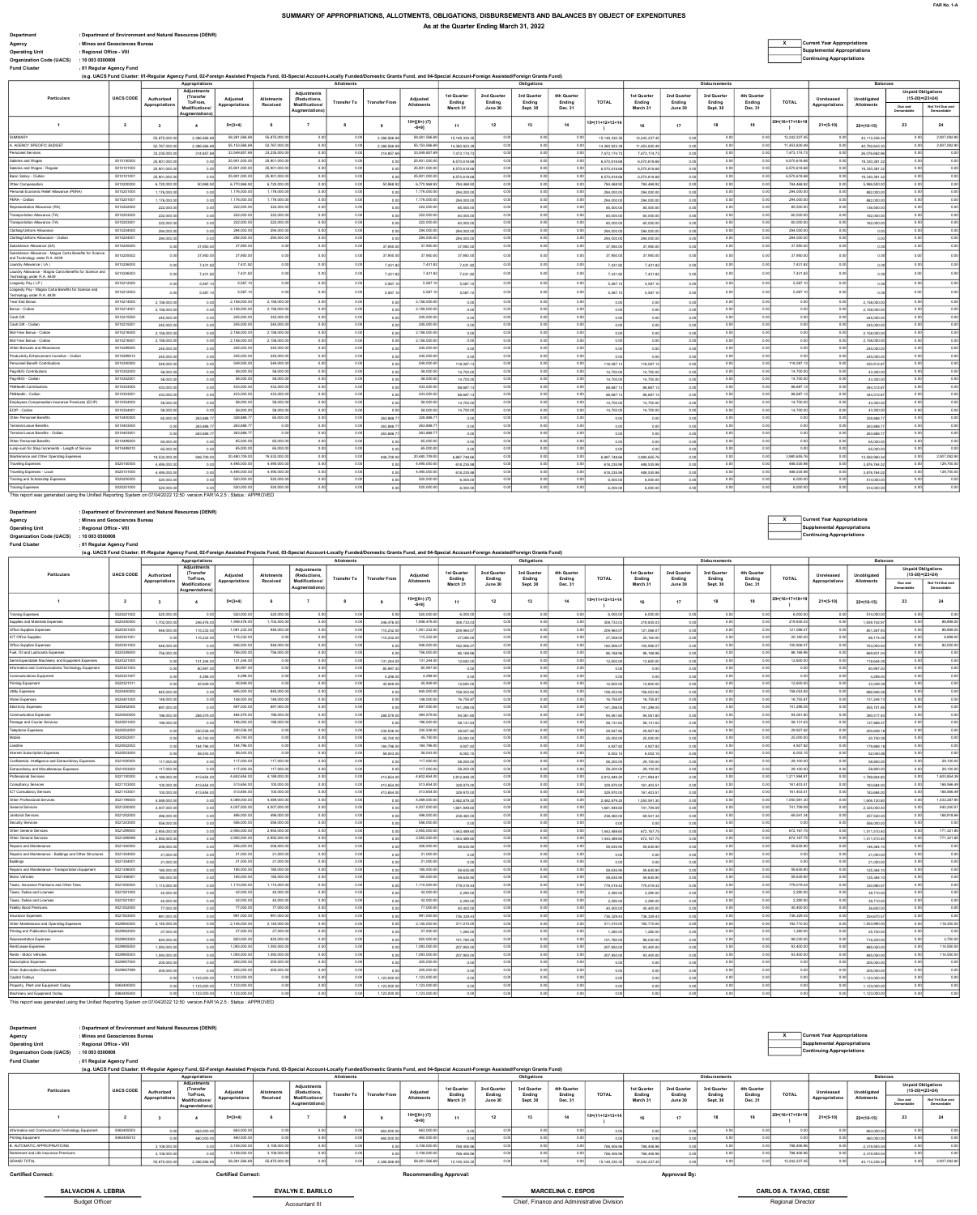### SUMMARY OF APPROPRIATIONS, ALLOTMENTS, OBLIGATIONS, DISBURSEMENTS AND BALANCES BY OBJECT OF EXPENDITURES As at the Quarter Ending March 31, 2022

## Department : Department of Environment and Natural Resources (DENR)

-Agency : Mines and Geosciences Bureau X | Current Year Appropriations | X | Current Year Appropriations | X |<br>Operating Unit : Regional Office - VIII Supplemental Appropriations | Supplemental Appropriations | Continuing Fund Cluster 01 Regular Agency Fund

.<br>estic Grants Fund, and 04-Special Account-Foreign Assisted/Foreign Grants Fu

|                                                                                                                        |                  |                | Appropriations                              |                |                   |                                 | Allotments         |                      |                                 |                       |                       | Obligations           |                       |                 |                       | Disbursements         |                       |                       | <b>Balances</b> |                 |                   |                                                |                               |
|------------------------------------------------------------------------------------------------------------------------|------------------|----------------|---------------------------------------------|----------------|-------------------|---------------------------------|--------------------|----------------------|---------------------------------|-----------------------|-----------------------|-----------------------|-----------------------|-----------------|-----------------------|-----------------------|-----------------------|-----------------------|-----------------|-----------------|-------------------|------------------------------------------------|-------------------------------|
| Particulars                                                                                                            | <b>UACS CODE</b> | Authorized     | <b>Adjustments</b><br>(Transfer<br>To/From. | Adjusted       | <b>Allotments</b> | Adjustments<br>(Reductions,     | <b>Transfer To</b> | <b>Transfer From</b> | Adjusted                        | 1st Quarter<br>Ending | 2nd Quarter<br>Ending | 3rd Quarter<br>Ending | 4th Quarter<br>Ending | <b>TOTAL</b>    | 1st Quarter<br>Ending | 2nd Quarter<br>Ending | 3rd Quarter<br>Ending | 4th Quarter<br>Ending | TOTAL           | Unreleased      | Unobligated       | <b>Unpaid Obligations</b><br>$(15-20)=(23+24)$ |                               |
|                                                                                                                        |                  | Appropriations | Modifications<br>Augmentations              | Appropriations | Received          | Modifications/<br>Augmentations |                    |                      | <b>Allotments</b>               | March 31              | June 30               | Sept. 30              | Dec. 31               |                 | March 31              | June 30               | Sept. 30              | Dec. 31               |                 | Appropriations  | <b>Allotments</b> | Due and<br>Demandable                          | Not Yet Due and<br>Demandable |
|                                                                                                                        | $\overline{2}$   | $\mathbf{3}$   | $\overline{a}$                              | $5 = (3 + 4)$  | 6                 | $\overline{7}$                  | $\mathbf{8}$       | $\mathbf{a}$         | $10 = (\{6 + (.)7\}$<br>$-8+9]$ | 11                    | 12                    | 13                    | 14                    | [5=(11+12+13+14 | 16                    | 17                    | 18                    | 19                    | 20=(16+17+18+19 | $21 = (5 - 10)$ | $22 = (10 - 15)$  | 23                                             | 24                            |
| <b>SUMMARY</b>                                                                                                         |                  | 55,875,000.0   | 2,386,566.6                                 | 58.261.566.6   | 55.875.000.0      | 0.00                            | 0.00               | 2,386,566.6          | 58,261,566.6                    | 15.149.330.35         | 0.00                  | 0.00                  | 0.00                  | 15.149.330.35   | 12.242.237.4          | 0.00                  | 0.00                  | 0.00                  | 12:242.237.4    | 0.0             | 43.112.236.34     | 0.00                                           | 2,907,092.90                  |
| A. AGENCY SPECIFIC BUDGET                                                                                              |                  | 52,767,000.0   | 2.388.568.6                                 | 55.153.566.69  | 52,767,000.00     | 0.00                            | 0.00               | 2.386.586.8          | 55.153.566.69                   | 14.360.923.39         | 0.00                  | 0.00                  | 0.00                  | 14.360.923.36   | 11.453.830.4          | 0.00                  | 0.00                  | 0.00                  | 11,453,830.49   | 0.00            | 40.792.643.3      | 0.00                                           | 2,907,092.90                  |
| Personnel Services                                                                                                     |                  | 33,235,000.0   | 314, 857.6                                  | 33,549,857.6   | 33,235,000.0      | 0.00                            | 0.00               | 314,857.6            | 33,549,857.6                    | 7.473.174.73          | 0.00                  | 0.00                  | 0.00                  | 7.473.174.73    | 7.473.174.7           | 0.00                  | 0.00                  | 0.00                  | 7.473.174.7     | 0.0             | 26.076.682.9      | 0.0                                            | 0.00                          |
| <b>Seleries and Wages</b>                                                                                              | 5010100000       | 25,901,000.0   | 0.00                                        | 25,901,000.00  | 25.901.000.00     | 0.00                            | 0.00               | 0.00                 | 25,901,000.00                   | 6,570,618.68          | 0.00                  | 0.00                  | 0.00                  | 6,570,618.68    | 6,570,618.68          | 0.00                  | 0.00                  | 0.00                  | 6.570.618.68    | 0.00            | 19,330,381.32     | 0.00                                           | 0.00                          |
| Salaries and Wages - Regula                                                                                            | 5010101000       | 25,901,000.0   | 0.0                                         | 25,901,000.00  | 25,901,000.0      | 0.00                            | 0.00               | 0.00                 | 25,901,000.0                    | 6.570 618 68          | 0.00                  | 0.00                  | 0.0                   | 6.570.618.68    | 6.570.618.6           | 00                    | 0.00                  | 0.00                  | 6,570,618.68    | 0.00            | 19.330.381.3      | 0.00                                           | 0.00                          |
| Basic Salary - Civilian                                                                                                | 5010101001       | 25,901,000.0   | 0.0                                         | 25,901,000.0   | 25.901.000.0      | 0.00                            | 0.00               | 0.01                 | 25,901,000.0                    | 6,570,618.68          | 0.00                  | 0.00                  | 0.00                  | 6.570.618.68    | 6.570.618.6           | 0.0                   | 0.00                  | 0.00                  | 6,570,618.68    | 0.0             | 19.330.381.3      | 0.00                                           | 0.00                          |
| Other Compensatio                                                                                                      | 5010200000       | 6.720.000.0    | 50,968.9                                    | 6,770,968.92   | 6,720,000.00      | 0.00                            | 0.00               | 50,968.93            | 6,770,968.92                    | 784 468 92            | 0.00                  | 0.00                  | 0.00                  | 784 468 97      | 784 468 9             | 0.0                   | 0.00                  | 0.00                  | 784,468.92      | 0.00            | 5.986.500.0       | 0.00                                           | 0.00                          |
| Personal Economic Relief Allowance (PERA)                                                                              | 5010201000       | 1.176,000.0    | 00                                          | 1.176.000.0    | 1.176.000.00      | 0.00                            | 0.00               | 0.00                 | 1.176.000.00                    | 294,000.00            | 0.00                  | 0.00                  | 0.00                  | 294.000.00      | 294,000.00            | 0.00                  | 0.00                  | 0.00                  | 294,000.00      | 0.00            | 882,000.00        | 0.00                                           | 0.00                          |
| PERA - Civilian                                                                                                        | 5010201001       | 1.176,000.00   | 0.0                                         | 1.176.000.0    | 1.176.000.0       | 0.00                            | 0.00               | 0.00                 | 1.176.000.0                     | 294.000.00            | 0.00                  | 0.00                  | 0.00                  | 294.000.00      | 294,000.00            | 0.00                  | 0.00                  | 0.00                  | 294,000.00      | 0.00            | 882,000.00        | 0.00                                           | 0.00                          |
| Representation Allowance (RA)                                                                                          | 5010202000       | 222 000.0      | 0.00                                        | 222,000.00     | 222,000.0         | 0.00                            | 0.00               | 0.00                 | 222,000.0                       | 85,500.00             | 0.00                  | 0.00                  | 0.00                  | 85,500.00       | 85,500.0              | 0.0                   | 0.00                  | 0.00                  | 85,500.00       | 0.00            | 136,500.00        | 0.00                                           | 0.00                          |
| Transportation Allowance (TA)                                                                                          | 5010203000       | 222,000.0      | 0.0                                         | 222,000.00     | 222,000.00        | 0.00                            | 0.00               | 0.00                 | 222,000.00                      | 60,000.00             | 0.00                  | 0.00                  | 0.00                  | 60,000.00       | 60,000.0              | 0.00                  | 0.00                  | 0.00                  | 60,000.00       | 0.00            | 162,000.00        | 0.00                                           | 0.00                          |
| Transportation Allowance (TA)                                                                                          | 5010203001       | 222 000.0      | 0.00                                        | 222,000.0      | 222,000.0         | 0.00                            | 0.00               | 0.00                 | 222,000.00                      | 60,000.00             | 0.00                  | 0.00                  | 0.00                  | 60,000.00       | 60,000.00             | 0.00                  | 0.00                  | 0.00                  | 60,000.00       | 0.00            | 162,000.00        | 0.00                                           | 0.00                          |
| Cicthing/Uniform Allowance                                                                                             | 5010204000       | 294,000.00     | 0.00                                        | 294,000.00     | 294,000.00        | 0.00                            | 0.00               | 0.00                 | 294,000.00                      | 294,000.00            | 0.00                  | 0.00                  | 0.00                  | 294,000.00      | 294,000.0             | 0.00                  | 0.00                  | 0.00                  | 294,000.00      | 0.00            | 0.00              | 0.00                                           | 0.00                          |
| Cicthing/Uniform Allowance - Civilian                                                                                  | 5010204001       | 294,000.0      | 0.0                                         | 294,000.00     | 294,000.0         | 0.00                            | 000                | 0.00                 | 294,000.00                      | 294.000.00            | 0.00                  | 0.00                  | 00                    | 294.000.00      | 294,000.00            | 0.0                   | 0.0                   | 0.00                  | 294,000.0       | 0.01            | 0.01              | 0.00                                           | 0.00                          |
| Ruhsistenne Allmasene (RA                                                                                              | 5010205000       | 0.0            | 37,950.00                                   | 37.950.00      | 0.00              | 0.00                            | 0.00               | 37,950.0             | 37,950.00                       | 37,950.00             | 0.00                  | 0.00                  | 0.00                  | 37,950.00       | 37,950.0              | 0.0                   | 0.00                  | 0.00                  | 37,950.00       | 0.00            | 0.00              | 0.00                                           | 0.00                          |
| Subsistence Allowance - Magna Carta Benefits for Science<br>and Technology under R.A. 8439                             | 5010205002       | 0.00           | 37,950.00                                   | 37,950.00      | 0.01              | 0.00                            | 0.00               | 37,950.00            | 37,950.00                       | 37,950.00             | 0.00                  | 0.00                  |                       | 37,950.00       | 37,950.00             | 0.0                   | 0.00                  | 0.00                  | 37,950.00       | 0.00            | 0.01              | 0.00                                           | 0.00                          |
| Laundry Allowance (LA)                                                                                                 | 5010206000       | 0.00           | 7.431.82                                    | 7.431.83       | 0.00              | 0.00                            | 0.00               | 7,431.8              | 7,431.82                        | 7,431.82              | 0.00                  | 0.00                  | 0.00                  | 7.431.82        | 7.431.82              | 0.0                   | 0.00                  | -0.00                 | 7.431.85        | 0.00            | 0.00              | 0.00                                           | 0.00                          |
| Laundry Allowance - Magna Carta Benefits for Science and<br>Technology under R.A. 8439                                 | 5010206003       | 0.00           | 7.431.8                                     | 7.431.82       | 0.00              | 0.00                            | 0.01               | 7,431.8              | 7,431.82                        | 7.431.82              | 0.00                  | 0.00                  | 00                    | 7.431.82        | 7.431.8               | 0.1                   | 0.00                  | 0.00                  | 7,431.82        | 0.00            | 0.00              | 0.00                                           | 0.00                          |
| Longevity Pay (LP)                                                                                                     | 5010212000       | 0.00           | 5.587.1                                     | 5,587.10       | 0.00              | 0.00                            | 0.00               | 5,587.1              | 5.587.1                         | 5.587.10              | 0.00                  | 0.00                  | 0.00                  | 5.587.10        | 5.587.10              | 00                    | 0.00                  | 0.00                  | 5,587.10        | 0.00            | 0.00              | 0.00                                           | 0.00                          |
| Longevity Pay - Magna Carta Benefits for Science and<br>Technology under R.A. 8439                                     | 5010212003       | 0.01           | 5.587.1                                     | 5,587.10       | 0.01              | 0.00                            | 0.00               | 5.587.1              | 5,587.10                        | 5.587.10              | 0.00                  | 0.00                  | 0.00                  | 5.587.10        | 5.587.1               | 00                    | 0.00                  | 0.00                  | 5,587.10        | 0.00            | 0.0               | 0.00                                           | 0.00                          |
| Year Fivi Roma                                                                                                         | 5010214000       | 2.158,000.0    | 0.0                                         | 2.158.000.00   | 2.158.000.00      | 0.00                            | 0.00               | 0.00                 | 2.158.000.00                    | 0.00                  | 0.00                  | 0.00                  | 0.00                  | 0.00            | 0.0                   | 0.0                   | 0.00                  | 0.00                  | 0.00            | 0.00            | 2,158,000.00      | 0.00                                           | 0.00                          |
| Bonus - Civilian                                                                                                       | 5010214001       | 2.158.000.0    | 0.0                                         | 2,158,000.00   | 2,158,000.00      | 0.00                            | 0.00               | 0.00                 | 2.158.000.00                    | 0.00                  | 0.00                  | 0.00                  | 0.00                  | 0.00            | 0.00                  | 0.0                   | 0.00                  | 0.00                  | 0.00            | 0.00            | 2.158.000.0       | 0.00                                           | 0.00                          |
| Cash Gift                                                                                                              | 5010215000       | 245,000.0      | 0.00                                        | 245,000.00     | 245,000.00        | 0.00                            | 0.00               | 0.00                 | 245,000.00                      | 0.00                  | 0.00                  | 0.00                  | 0.00                  | 0.00            | 0.00                  | 0.0                   | 0.00                  | 0.00                  | 0.00            | 0.00            | 245,000.00        | 0.00                                           | 0.00                          |
| Cash Gift - Civilian                                                                                                   | 5010215001       | 245,000.00     | 0.00                                        | 245,000.0      | 245,000.0         | 0.00                            | 0.00               | 0.00                 | 245,000.00                      | 0.00                  | 0.00                  | 0.00                  | 0.00                  | 0.00            | 0.00                  | 0.0                   | 0.00                  | 0.00                  | 0.00            | 0.00            | 245,000.00        | 0.00                                           | 0.00                          |
| Mid-Year Bonus - Civilian                                                                                              | 5010216000       | 2.158,000.0    | 0.0                                         | 2,158,000.0    | 2,158,000.0       | 0.00                            | 0.00               | 0.00                 | 2.158.000.00                    | 0.00                  | 0.00                  | 0.00                  | 0.00                  | 0.00            | 0.00                  | 0.0                   | 0.0                   | 0.00                  | 0.00            | 0.00            | 2.158.000.0       | 0.00                                           | 0.00                          |
| Mid-Year Bonus - Civilia                                                                                               | 5010216001       | 2.158.000.0    | 0.00                                        | 2,158,000.00   | 2,158,000.00      | 0.00                            | 0.00               | 0.00                 | 2.158.000.00                    | 0.00                  | 0.00                  | 0.00                  | 0.00                  | 0.00            | 0.00                  | 0.00                  | 0.00                  | 0.00                  | 0.00            | 0.00            | 2.158.000.0       | 0.00                                           | 0.00                          |
| Other Romises and Allowances                                                                                           | 5010299000       | 245,000.0      | 00                                          | 245,000.0      | 245,000.0         | 0.00                            | 0.00               | 0.00                 | 245,000.00                      | 0.00                  | 0.00                  | 0.00                  | 0.00                  | 0.00            | 0.00                  | 0.0                   | 0.00                  | 0.00                  | 0.00            | 0.00            | 245,000.00        | 0.00                                           | 0.00                          |
| Productivity Enhancement Incentive - Civilian                                                                          | 5010299012       | 245,000.06     | 0.00                                        | 245,000.00     | 245,000.0         | 0.00                            | 0.00               | 0.00                 | 245,000.00                      | 0.00                  | 0.00                  | 0.00                  | 0.00                  | 0.00            | 0.00                  | 0.00                  | 0.00                  | 0.00                  | 0.00            | 0.00            | 245,000.00        | 0.00                                           | 0.00                          |
| Personnel Renefit Contributions                                                                                        | 501030000        | 549,000.00     | 0.00                                        | 549,000.00     | 549,000.0         | 0.00                            | 0.00               | 0.00                 | 549,000.00                      | 118.087.13            | 0.00                  | 0.00                  | 0.00                  | 118.087.13      | 118.087.13            | 0.0                   | 0.00                  | 0.00                  | 118.087.13      | 0.00            | 430.912.87        | 0.00                                           | 0.00                          |
| Pag-IBIG Contributions                                                                                                 | 5010302000       | 58,000.00      | 0.0                                         | 58,000.00      | 58,000.00         | 0.00                            | 0.00               | 0.00                 | 58,000.00                       | 14,700.00             | 0.00                  | 0.00                  | 0.00                  | 14,700.00       | 14,700.0              | 0.00                  | 0.00                  | 0.00                  | 14,700.00       | 0.00            | 43,300.00         | 0.00                                           | 0.00                          |
| Pag-IBIG - Civilian                                                                                                    | 5010302001       | 58,000.0       | 0.0                                         | 58,000.0       | 58,000.00         | 0.00                            | 0.00               | 0.00                 | 58,000.00                       | 14,700.00             | 0.00                  | 0.00                  | 0.00                  | 14,700.00       | 14,700.00             | 0.0                   | 0.00                  | 0.00                  | 14,700.00       | 0.00            | 43,300.00         | 0.00                                           | 0.00                          |
| Phil-lealth Contributions                                                                                              | 5010303000       | 433,000.00     | 0.0                                         | 433,000.00     | 433,000.00        | 0.00                            | 0.00               | 0.00                 | 433,000.00                      | 88,687.13             | 0.00                  | 0.00                  | 0.00                  | 88,687.13       | 88 687 1              | 0.0                   | 0.00                  | 0.00                  | 88.687.13       | 0.00            | 344,312.87        | 0.00                                           | 0.00                          |
| PhilHealth - Civilian                                                                                                  | 5010303001       | 433,000.0      | 0.00                                        | 433,000.00     | 433,000.0         | 0.00                            | 0.00               | 0.00                 | 433,000.00                      | 88,687.13             | 0.00                  | 0.00                  | 0.00                  | 88,687.13       | 88,687.1              | 0.0                   | 0.00                  | 0.00                  | 88,687.1        | 0.0             | 344,312.8         | 0.00                                           | 0.00                          |
| Employees Compensation Insurance Premiums (ECIP)                                                                       | 5010304000       | 58,000.0       | 0.00                                        | 58,000.00      | 58,000.0          | 0.00                            | 0.00               | 0.00                 | 58,000.0                        | 14,700.00             | 0.00                  | 0.00                  | 0.00                  | 14,700.00       | 14,700.0              | 0.0                   | 0.00                  | 0.00                  | 14,700.00       | 0.00            | 43,300.0          | 0.00                                           | 0.00                          |
| ECIP - Civilian                                                                                                        | 5010304001       | 58,000.00      | 0.00                                        | 58,000.00      | 58,000.00         | 0.00                            | 0.00               | 0.00                 | 58,000.00                       | 14,700.00             | 0.00                  | 0.00                  | 0.00                  | 14,700.00       | 14,700.00             | 0.00                  | 0.00                  | 0.00                  | 14,700.00       | 0.00            | 43,300.00         | 0.00                                           | 0.00                          |
| Other Personnel Benefits                                                                                               | 5010400000       | 65,000.00      | 263, 888.7                                  | 328, 888.77    | 65,000.00         | 0.00                            | 0.00               | 263, 888.7           | 328, 888.7                      | 0.00                  | 0.00                  | 0.00                  | 0.00                  | 0.00            | 0.00                  | 0.0                   | 0.00                  | 0.00                  | 0.00            | 0.00            | 328, 888.7        | 0.00                                           | 0.00                          |
| Terminal Leave Benefits                                                                                                | 5010403000       | 0.00           | 263, 888.7                                  | 263,888.7      | 0.00              | 0.00                            | 0.00               | 263, 888.7           | 263,888.7                       | 0.00                  | 0.00                  | 0.00                  | 0.00                  | 0.00            | 0.00                  | 0.0                   | 0.00                  | 0.00                  | 0.00            | 0.00            | 263, 888.7        | 0.00                                           | 0.00                          |
| Terminal I ease Renefits - Civilian                                                                                    | 5010403001       | 00             | 263,888.7                                   | 263,888.7      | 0.00              | 0.00                            | 0.00               | 263,888.7            | 263,888.7                       | 0.00                  | 0.00                  | 0.00                  | 0.00                  | 0.00            | 0.0                   | 00                    | 0.00                  | 0.00                  | 0.00            | 0.00            | 263.888.7         | 0.00                                           | 0.00                          |
| Other Personnel Benefits                                                                                               | 5010499000       | 65,000.00      | 0.0                                         | 65,000.00      | 65.000.00         | 0.00                            | 0.00               | 0.00                 | 65,000.00                       | 0.00                  | 0.00                  | 0.00                  | 0.00                  | 0.00            | 0.00                  | 0.00                  | 0.00                  | 0.00                  | 0.00            | 0.01            | 65,000.00         | 0.00                                           | 0.00                          |
| Lump-sum for Step Increments - Length of Service                                                                       | 5010499010       | 65,000.00      | 0.0                                         | 65,000.00      | 65,000.00         | 0.00                            | 0.00               | 0.00                 | 65,000.00                       | 0.00                  | 0.00                  | 0.00                  | 0.00                  | 0.00            | 0.00                  | 0.00                  | 0.00                  | 0.00                  | 0.00            | 0.00            | 65,000.00         | 0.00                                           | 0.00                          |
| Maintenance and Other Operating Expenses                                                                               |                  | 19,532,000.00  | 948,709.00                                  | 20.480.709.00  | 19.532.000.00     | 0.00                            | 0.00               | 948,709.00           | 20.480.709.00                   | 6.887.748.66          | 0.00                  | 0.00                  | 0.00                  | 6.887.748.66    | 3.980.655.76          | 0.00                  | 0.00                  | 0.00                  | 3.980.655.76    | 0.00            | 13,502,960.34     | 0.00                                           | 2.907.092.90                  |
| <b>Traveling Expenses</b>                                                                                              | 5020100000       | 4,495,000.0    | 0.0                                         | 4,495,000.0    | 4,495,000.0       | 0.00                            | 0.00               | 0.0                  | 4,495,000.0                     | 618,235.98            | 0.00                  | 0.00                  | 00                    | 618, 235.98     | 488,535.9             | 0.0                   | 0.00                  | 0.00                  | 488,535.98      | 0.01            | 3.876.764.03      | 0.00                                           | 129,700.00                    |
| Traveling Expenses - Local                                                                                             | 5020101000       | 4,495,000.0    | 0.0                                         | 4.495.000.00   | 4.495.000.00      | 0.00                            | 0.00               | 0.00                 | 4.495.000.00                    | 618,235.98            | 0.00                  | 0.00                  | 0.00                  | 618,235.98      | 488,535.98            | 0.0                   | 0.00                  | 0.00                  | 488, 535. 98    | 0.00            | 3.876.764.02      | 0.00                                           | 129,700.00                    |
| Training and Scholarship Expenses                                                                                      | 5020200000       | 520,000.0      | 0.0                                         | 520,000.0      | 520,000.00        | 0.00                            | 0.00               | 0.00                 | 520,000.00                      | 6,000.00              | 0.00                  | 0.00                  | 0.00                  | 6,000.00        | 6,000.00              | 0.00                  | 0.00                  | 0.00                  | 6,000.00        | 0.00            | 514,000.00        | 0.00                                           | 0.00                          |
| Training Expenses                                                                                                      | 5020201000       | 520,000.00     | 0.00                                        | 520,000.00     | 520,000.00        | 0.00                            | 0.00               | 0.00                 | 520,000.0                       | 6.000.00              | 0.00                  | 0.00                  | 0.00                  | 6,000.00        | 6,000.00              | 0.00                  | 0.00                  | 0.00                  | 6,000.00        | 0.00            | 514,000.00        | 0.00                                           | 0.00                          |
| This report was generated using the Unified Reporting System on 07/04/2022 12:50 version.FAR1A.2.5 ; Status : APPROVED |                  |                |                                             |                |                   |                                 |                    |                      |                                 |                       |                       |                       |                       |                 |                       |                       |                       |                       |                 |                 |                   |                                                |                               |

Department : Department of Environment and Natural Resources (DENR)<br>Agency : Mines and Geosciences Bureau X Current Year Appropriations<br>Operating Unit : Regional Office - VIII Supplemental Appropriations : Supplemental App

# Organization Code (UACS) : 10 003 000008<br>Fund Cluster 01 Regular Agency Fund (Decisions of Decisions and Decisions of Decisions of Decisions Agency Fun<br>Fund Cluster : 01 Regular Agency Fund

The Cluster: 01-Regular Agency Fund, 02-Foreign Assisted Projects Fund, 03-Special Account-Locally Funded/Domestic Grants Fund, and 04-Special Account-Foreign Assisted/Foreign Grants Fund)<br>Allotments and Cluster Cluster A

### 3 4 9 11 15=(11+12+13+14 (11+12+13) 16 17 22=(10-15) 520,000.00 0.00 0.00 6,000.00 6,000.00 6,000.00 0.00 514,000.00 1,702,000.00 246,476.00 246,476.00 308,733.03 308,733.03 219,835.03 0.00 1,639,742.97 946,000.00 115,232.00 1.061,232.00 946,000.00| 0.00| 0.00| 115,232.00| 1.061,232.00| 2.00,964.07| 0.00| 0.00| 0.00| 0.00| 0.00| 0.00| 0.00| 0.00| 851,267.93 0.00 115,232.00 115,232.00 0.00 0.00 0.00 115,232.00 115,232.00 2.7,058.00 0.00 0.00 0.00 2.000, 0.00 0.00, 0.00, 0.00, 0.00, 0.00, 0.00, 0.00, 0.00, 0.00, 0.00, 0.00, 0.00, 0.00, 0.00, 0.00, 0.00, 0.00, 0.00, 0.00, 0.00, 0 946,000.00 946,000.00| 946,000.00| 0.00| 0.00| 946,000.00| 948,000.07| 0.00| 0.00| 0.00| 9.00| 0.00| 9.00| 9.00| 9.00| 9.00| 9.00| 783,003.93 756,000.00 0.00 756,000.00 756,000.00 0.00 0.00 0.00 756,000.00 86,168.96 0.00 0.00 0.00 86,168.96 0.00 0.00 0.00 0.00 0.00 0.00 0.00, 0.00, 0.00, 0.00, 0.00, 0.00, 0.00, 0.00, 0.00, 0.00, 0.00, 0.00, 0.00, 0.00, 0.00, 0.0 0.00 131,244.00 131,244.00 12,600.00 12,600.00 12,600.00 0.00 118,644.00 0.00 80,997.00 80,997.00 0.00 0.00 0.00 0.00 80,997.00 0.00| 4,298.00| 4,298.00| 0.00| 0.00| 4,298.00| 4,298.00| 0.00| 0.00| 0.00| 0.00| 0.00| 0.00| 0.00| 0.00| 0.00| 0.00| 4,298.00 0.00 45,949.00 45,949.00 0.00 0.00 0.00 45,949.00 12,600.00 0.00 0.00 0.00 12,600.00 0.00 0.00 0.00 12,600.00 0.00 33,349.00 845,000.00 0.00 0.00 158,053.92 158,053.92 158,053.92 0.00 686,946.08 148,000.00 148,000.00| 148,000.00| 0.00| 0.00| 148,000.00| 148,000.00| 16,7<u>55.87|</u> 0.00| 16,755.87| 0.00| 16,755.87| 0.00| 16,755.87| 0.00| 151,244.13 697,000.00 0.00 697,000.00 697,000.00 0.00 0.00 697,000.00 141,298.05 0.00 0.00 0.00 141,298.05 141,298.05 0.00 0.00 0.00 0.00 0.00 655,701.95 196,000.00 288,579.00 484,570.00 196,000.00 0.00 0.00 288,579.00 0.00 94,061.60 0.00 0.00 0.00 0.00 0.00 94,061.60 0.00 390,517.40 0.00 0.00 0.00 390,517.40 196,000.00 0.00 0.00 58,131.63 58,131.63 58,131.63 0.00 137,868.37 0.00| 230,536.00| 230,536.00| 0.00| 0.00| 230,596.00| 230,536.00| 29,927.82| 0.00| 29,927.82| 0.00| 29,927.82| 0.00| 29,927.82| 0.00| 29,927.82| 0.00| 29,927.82| 0.00| 29,927.82| 0.00| 29,927.82| 0.00| 29,927.82| 0.00| 29,9 0.00 45,740.00 45,740.00 25,000.00 25,000.00 25,000.00 0.00 20,740.00 0.00 184,796.00 184,796.00 0.00 0.00 184,798.00 184,798.00 4,927.82 0.00 0.00 0.00 4,927.82 0.00 0.00 0.00 0.00 0.00 179,868.18 0.00| 58,043.00| 58,043.00| 0.00| 0.00| 58,043.00| 58,043.00| 8,002.15| 0.00| 0.00| 8,002.15| 0.00| 6,002.15| 0.00| 6.002.15| 0.00| 6.002.15| 0.00| 62,040.85| 0.00| 62,040.85 117,000.00 0.00 0.00 58,200.00 58,200.00 29,100.00 0.00 58,800.00 117,000.00 0.00 0.00 58,200.00 58,200.00 29,100.00 0.00 58,800.00 4,189,000.00 413,654.00 413,654.00 2,812,849.20 2,812,849.20 1,211,994.81 0.00 1,789,804.80 100,000.00 413,654.00 513,654.00 100,000.00| 0.00| 0.00| 413,654.00| 513,654.00| 329,970.00| 0.00| 0.00| 9.00| 9.00| 329,970.00| 0.00| 9.00| 9.00| 9.00| 9.00| 9.00| 9.00| 9.00| 9.00| 9.00| 9.00| 9.00| 9.00| 9.00| 9.00| 9.0 100,000.00 413,654.00 413,654.00 329,970.00 329,970.00 161,403.51 0.00 183,684.00 4,089,000.00 0.00 0.00 2,482,879.20 2,482,879.20 1,050,591.30 0.00 1,606,120.80 4,007,000.00 0.00 4,007,000.00 0.00 0.00 0.00 0.00 0.000 0.000 0.00 0.00 0.000 1,881,949.60 741,709.09 0.00 0.00 0.000 0.000 2,325,050.40 496,000.00 0.00 496,000.00 496,000.00 0.00 0.00 0.00 496,000.00 238,460.00 0.00 0.00 0.00 0.00, 238,460.00 0.00, 238,540.00, 0.00, 0.00, 0.00, 0.00, 0.00, 0.00, 0.00, 0.00, 0.00, 0.00, 0.00, 257,540.00 556,000.00 0.00 0.00 0.00 0.00 0.00 0.00 556,000.00 2,955,000.00 0.00 2,955,000.00 0.00 0.00 0.00 0.000 2,955,000.00 1,443,489.60 0.00 0.00 0.00 0.000 0.000 0.000 0.000 0.000 0.000 0.001 0.000 0.001 0.001 0.000 0.001 0.001 0.001 0.001 0.001 0.511,510.40 2,955,000.00 0.00 2,955,000.00 2,955,000.00 0.00 0.00 0.000 0.000 0.000 0.000 0.000 0.000 0.000 0.000 0.000 0.01 0.511,510.40 206,000.00 0.00 0.00 59,635.90 59,635.90 59,635.90 0.00 146,364.10 21,000.00 0.00 0.00 0.00 0.00 0.00 0.00 21,000.00 21,000.00 0.00 0.00 0.00 0.00 0.00 0.00 21,000.00 185,000.00 0.00 0.00 59,635.90 59,635.90 59,635.90 0.00 125,364.10 185,000.00 0.00 0.00 59,635.90 59,635.90 59,635.90 0.00 125,364.10 1,110,000.00 0.00 0.00 779,019.43 779,019.43 779,019.43 0.00 330,980.57 42,000.00 0.00 0.00 2,290.00 2,290.00 2,290.00 0.00 39,710.00 42,000.00 0.00 0.00 2,290.00 2,290.00 2,290.00 0.00 39,710.00 77,000.00 0.00 77,000.00| 77,000.00| 0.00| 0.00| 77,000.00| 40,400.00| 0.00| 0.00| 40,400,00| 0.00| 40,400.00| 0.00| 9.00| 9.00| 9.00| 9.00| 9.000| 0.00| 9.00| 9.00| 9.00| 9.00| 9.00| 9.00| 9.00| 9.00| 9.00| 9.00| 9.00| 9. 991,000.00 0.00 991,000.00 991,000.00 0.00 0.00 991,000.00 736,329.43 0.00 0.00 0.00 736,329.43 0.00 0.00 0.00 0.00 0.00 254,670.57 2,145,000.00 0.00 2.145,000.00 2.145,000.00 0.00 0.00 0.00 0.000 0.000 0.000 0.000 0.000 0.000 0.000 0.000 0.000 0.000 0.000 0.000 0.000 0.000 0.000 0.000 0.000 0.000 0.000 0.000 0.000 0.000 0.000 0.000 0.000 0.000 0.000 0 27,000.00 0.00 0.00 1,280.00 1,280.00 1,280.00 0.00 25,720.00 820,000.00 0.00 0.00 101,780.00 101,780.00 98,030.00 0.00 718,220.00 1,093,000.00 0.00 1,093,000.00 1,093,000.00 0.00 0.00 0.00 0.000 0.000 0.00 0.00 0.00 0.00 0.00 0.00 0.00 0.00 0.00 0.00 0.00 0.00 0.00 0.00 0.00 0.00 0.00 0.00 0.00 0.00 0.00 0.00 0.00 0.00 0.00 0.00 0.00 0.00 0.00 0.00 0 1,093,000.00 0.00 0.00 207,950.00 207,950.00 93,400.00 0.00 885,050.00 205,000.00 0.00 0.00 0.00 0.00 0.00 0.00 205,000.00 Particulars UACS COD Appropriations Allotments Obligations Disbursements Balances Authorized Appropriations Adjustments (Transfer To/From, Modifications/ Augmentations) Adjusted Appropriations Allotments Received Adjustments (Reductions, Modifications/ Augmentations) Transfer To 4th Quarter Ending Dec. 31 TOTAL Unreleased Appropriations Unobligated Allotments Unpaid Obligations (15-20)=(23+24) Due and Demandable Not Yet Due and Demandable 4th Quarter Ending Dec. 31 TOTAL 1st Quarter Ending March 31 2nd Quarter Ending June 30 3rd Quarter Ending Sept. 30 Transfer From Adjusted Allotments 1st Quarter Ending March 31 2nd Quarter Ending June 30 3rd Quarter Ending Sept. 30 24 Training Expenses 5020201002 520.000.00 0.00 520,000.00 520,000.00 0.00 0.00 0.00 0.000 0.000 0.00 0.000 0.000 0.000 0.000 0.000 0.000 0.000 0.000 0.000 0.000 0.000 0.000 0.000 0.000 0.000 0.000 0.000 0.000 0.000 0.000 0.0 18 19  $20=(16+17+18+19)$ 8 29 20=116+17+18+19 21=(5-10) 22=(10-15) 23<br>8 3 20=116+17+18+19 21=(5-10) 22=(10-15) 23 -8+9] 1 2 5=(3+4) 6 7 12 13 14 88,898.00 0.00 Office Supplies Expenses 5020301000 1,061,232.00 946,000.00 0.00 0.00 1,061,232.00 0.00 0.00 0.00 0.00 0.00 121,066.07 0.00 0.00 Supplies and Materials Expenses 5020300000 1,948,476.00 1,702,000.00 0.00 0.00 1,948,476.00 0.00 0.00 0.00 0.00 0.00 219,835.03 0.00 0.00 6,898.00 88,898.00 Office Supplies Expenses 5020301002 946,000.00 946,000.00 0.00 0.00 946,000.00 0.00 0.00 0.00 0.00 0.00 100,906.07 0.00 0.00 ICT Office Supplies 5020301001 115,232.00 0.00 0.00 0.00 115,232.00 0.00 0.00 0.00 0.00 0.00 20,160.00 0.00 0.00 0.00 82,000.00 Semi-Expendable Machinery and Equipment Expenses 5020321000 131,244.00 0.00 0.00 0.00 131,244.00 0.00 0.00 0.00 0.00 0.00 12,600.00 0.00 0.00 Fuel, Oil and Lubricants Expenses 5020309000 756,000.00 756,000.00 0.00 0.00 756,000.00 0.00 0.00 0.00 0.00 0.00 86,168.96 0.00 0.00 Communications Equipment 5020321007 4,298.00 0.00 0.00 0.00 4,298.00 0.00 0.00 0.00 0.00 0.00 0.00 0.00 0.00 Information and Communications Technology Equipment 5020321003 80,997.00 0.00 0.00 0.00 80,997.00 0.00 0.00 0.00 0.00 0.00 0.00 0.00 0.00 Utility Expenses 5020400000 845,000.00 845,000.00 0.00 0.00 845,000.00 0.00 0.00 0.00 0.00 0.00 158,053.92 0.00 0.00 Printing Equipment 5020321011 45,949.00 0.00 0.00 0.00 45,949.00 0.00 0.00 0.00 0.00 0.00 12,600.00 0.00 0.00 Electricity Expenses 5020402000 697,000.00 697,000.00 0.00 0.00 697,000.00 0.00 0.00 0.00 0.00 0.00 141,298.05 0.00 0.00 Water Expenses 5020401000 148,000.00 148,000.00 0.00 0.00 148,000.00 0.00 0.00 0.00 0.00 0.00 16,755.87 0.00 0.00 Postage and Courier Services 5020501000 196,000.00 196,000.00 0.00 0.00 196,000.00 0.00 0.00 0.00 0.00 0.00 58,131.63 0.00 0.00 Communication Expenses 5020500000 484,579.00 196,000.00 0.00 0.00 484,579.00 0.00 0.00 0.00 0.00 0.00 94,061.60 0.00 0.00 Mobile 5020502001 45,740.00 0.00 0.00 0.00 45,740.00 0.00 0.00 0.00 0.00 0.00 25,000.00 0.00 0.00 Telephone Expenses 5020502000 230,536.00 0.00 0.00 0.00 230,536.00 0.00 0.00 0.00 0.00 0.00 29,927.82 0.00 0.00 Internet Subscription Expenses 5020503000 58,043.00 0.00 0.00 0.00 58,043.00 0.00 0.00 0.00 0.00 0.00 6,002.15 0.00 0.00 Landline 5020502002 184,796.00 0.00 0.00 0.00 184,796.00 0.00 0.00 0.00 0.00 0.00 4,927.82 0.00 0.00 29,100.00 Extraordinary and Miscellaneous Expenses 5021003000 117,000.00 117,000.00 0.00 0.00 117,000.00 0.00 0.00 0.00 0.00 0.00 29,100.00 0.00 0.00 Confidential, Intelligence and Extraordinary Expenses 5021000000 117,000.00 117,000.00 0.00 0.00 117,000.00 0.00 0.00 0.00 0.00 0.00 29,100.00 0.00 0.00 29,100.00<br>1,600,854.39 Consultancy Services 5021103000 513,654.00 100,000.00 0.00 0.00 513,654.00 0.00 0.00 0.00 0.00 0.00 161,403.51 0.00 0.00 Professional Services 5021100000 4,602,654.00 4,189,000.00 0.00 0.00 4,602,654.00 0.00 0.00 0.00 0.00 0.00 1,211,994.81 0.00 0.00 168,566.49 168,566.49 Other Professional Services 5021199000 4,089,000.00 4,089,000.00 0.00 0.00 4,089,000.00 0.00 0.00 0.00 0.00 0.00 1,050,591.30 0.00 0.00 ICT Consultancy Services 5021103001 513,654.00 100,000.00 0.00 0.00 513,654.00 0.00 0.00 0.00 0.00 0.00 161,403.51 0.00 0.00 940,240.51 1,432,287.90 Janitorial Services 5021202000 496,000.00 496,000.00 0.00 0.00 496,000.00 0.00 0.00 0.00 0.00 0.00 69,541.34 0.00 0.00 General Services 5021200000 4,007,000.00 4,007,000.00 0.00 0.00 4,007,000.00 0.00 0.00 0.00 0.00 0.00 741,709.09 0.00 0.00 0.00 168,918.66 Other General Services 5021299000 2,955,000.00 2,955,000.00 0.00 0.00 2,955,000.00 0.00 0.00 0.00 0.00 0.00 672,167.75 0.00 0.00 Security Services 5021203000 556,000.00 556,000.00 0.00 0.00 556,000.00 0.00 0.00 0.00 0.00 0.00 0.00 0.00 0.00 771,321.85 771,321.85 Repairs and Maintenance 5021300000 206,000.00 206,000.00 0.00 0.00 206,000.00 0.00 0.00 0.00 0.00 0.00 59,635.90 0.00 0.00 Other General Services 5021299099 2,955,000.00 2,955,000.00 0.00 0.00 2,955,000.00 0.00 0.00 0.00 0.00 0.00 672,167.75 0.00 0.00 Buildings 5021304001 21,000.00 21,000.00 0.00 0.00 21,000.00 0.00 0.00 0.00 0.00 0.00 0.00 0.00 0.00 Repairs and Maintenance - Buildings and Other Structures 5021304000 21,000.00 21,000.00 0.00 0.00 21,000.00 0.00 0.00 0.00 0.00 0.00 0.00 0.00 0.00 Motor Vehicles 5021306001 185,000.00 0.00 185,000.00 185,000.00 0.00 0.00 0.00 0.000 0.000 0.00 0.000 0.000 0.000 0.000 0.000 0.000 0.000 0.000 0.000 0.000 0.000 0.000 0.000 0.000 0.000 0.000 0.000 0.000 0.000 0.000 0.000 Repairs and Maintenance - Transportation Equipment 5021306000 185,000.00 185,000.00 0.00 0.00 185,000.00 0.00 0.00 0.00 0.00 0.00 59,635.90 0.00 0.00 Taxes, Duties and Licenses 5021501000 42,000.00 42,000.00 0.00 0.00 42,000.00 0.00 0.00 0.00 0.00 0.00 2,290.00 0.00 0.00 Taxes, Insurance Premiums and Other Fees 5021500000 1,110,000.00 1,110,000.00 0.00 0.00 1,110,000.00 0.00 0.00 0.00 0.00 0.00 779,019.43 0.00 0.00 Fidelity Bond Premiums 5021502000 77,000.00 77,000.00 0.00 0.00 77,000.00 0.00 0.00 0.00 0.00 0.00 40,400.00 0.00 0.00 Taxes, Duties and Licenses 5021501001 42,000.00 42,000.00 0.00 0.00 42,000.00 0.00 0.00 0.00 0.00 0.00 2,290.00 0.00 0.00 Other Maintenance and Operating Expenses 5029900000 2,145,000.00 2,145,000.00 0.00 0.00 2,145,000.00 0.00 0.00 0.00 0.00 0.00 192,710.00 0.00 0.00 Insurance Expenses 5021503000 991,000.00 991,000.00 0.00 0.00 991,000.00 0.00 0.00 0.00 0.00 0.00 736,329.43 0.00 0.00 0.00 118,300.00 Representation Expenses 5029903000 820,000.00 820,000.00 0.00 0.00 820,000.00 0.00 0.00 0.00 0.00 0.00 98,030.00 0.00 0.00 Printing and Publication Expenses 5029902000 27,000.00 27,000.00 0.00 0.00 27,000.00 0.00 0.00 0.00 0.00 0.00 1,280.00 0.00 0.00 114,550.00 3,750.00 Rents - Motor Vehicles 5029905003 1,093,000.00 1,093,000.00 0.00 0.00 1,093,000.00 0.00 0.00 0.00 0.00 0.00 93,400.00 0.00 0.00 Rent/Lease Expenses 5029905000 1,093,000.000 0.00 0.000 0.000 0.000 0.000 0.000 937,950.000 0.000 0.000 0.000 0.000 0.000 0.000 0.000 0.000 0.000 0.000 0.000 0.000 0.000 0.000 0.000 0.000 0.000 0.000 0.000 0.000 0.000 0.00 0.00 114,550.00 Other Subscription Expenses 5029907099 205,000.00 205,000.00 0.00 0.00 205,000.00 0.00 0.00 0.00 0.00 0.00 0.00 0.00 0.00 Subscription Expenses 5029907000 205,000.00 205,000.00 0.00 0.00 205,000.00 0.00 0.00 0.00 0.00 0.00 0.00 0.00 0.00

0.00 1,123,000.00 1.123,000.00 0.00 0.00 0.00 0.00 0.000 0.000 0.00 0.00 0.00 0.00 0.00 0.00 0.00 0.00 0.00 0.00 1,123,000.00 This report was generated using the Unified Reporting System on 07/04/2022 12:50 version.FAR1A.2.5 ; Status : APPROVED Machinery and Equipment Outlay 5060405000 1,123,000.00 0.00 0.00 0.00 1,123,000.00 0.00 0.00 0.00 0.00 0.00 0.00 0.00 0.00

**Budget Office** 

| Department<br>Agency<br><b>Operating Unit</b><br><b>Organization Code (UACS)</b><br><b>Fund Cluster</b> | : Mines and Geosciences Bureau<br>: Regional Office - VIII<br>: 10 003 0300008<br>: 01 Regular Agency Fund |                  | : Department of Environment and Natural Resources (DENR) |                                                   | (e.g. UACS Fund Cluster: 01-Regular Agency Fund, 02-Foreign Assisted Projects Fund, 03-Special Account-Locally Funded/Domestic Grants Fund, and 04-Special Account-Foreign Assisted/Foreign Grants Fund) |               |                                  |                    |                      |                                     |                       |                       |                       |                       |                  |                       |                       |                       |                       |                  | <b>Current Year Appropriations</b><br><b>Supplemental Appropriations</b><br><b>Continuing Appropriations</b> |                   |                                                |                               |
|---------------------------------------------------------------------------------------------------------|------------------------------------------------------------------------------------------------------------|------------------|----------------------------------------------------------|---------------------------------------------------|----------------------------------------------------------------------------------------------------------------------------------------------------------------------------------------------------------|---------------|----------------------------------|--------------------|----------------------|-------------------------------------|-----------------------|-----------------------|-----------------------|-----------------------|------------------|-----------------------|-----------------------|-----------------------|-----------------------|------------------|--------------------------------------------------------------------------------------------------------------|-------------------|------------------------------------------------|-------------------------------|
|                                                                                                         |                                                                                                            |                  |                                                          | Appropriations                                    |                                                                                                                                                                                                          |               |                                  | <b>Allotments</b>  |                      |                                     |                       |                       | Obligations           |                       |                  | <b>Disbursements</b>  |                       |                       |                       |                  | Balances                                                                                                     |                   |                                                |                               |
| Particulars                                                                                             |                                                                                                            | <b>UACS CODE</b> | Authorized                                               | <b>Adjustments</b><br><b>(Transfer</b><br>To/From | Adjusted                                                                                                                                                                                                 | Allotments    | Adjustments<br>(Reductions       | <b>Transfer To</b> | <b>Transfer From</b> | Adjusted                            | 1st Quarter<br>Ending | 2nd Quarter<br>Ending | 3rd Quarter<br>Ending | 4th Quarter<br>Ending | <b>TOTAL</b>     | 1st Quarter<br>Ending | 2nd Quarter<br>Ending | 3rd Quarter<br>Ending | 4th Quarter<br>Ending | TOTAL            | Unreleased<br>Appropriations                                                                                 | Unobligated       | <b>Unpaid Obligations</b><br>$(15-20)=(23+24)$ |                               |
|                                                                                                         |                                                                                                            |                  | Appropriations                                           | Modifications<br>Augmentations)                   | Appropriations                                                                                                                                                                                           | Received      | Modifications/<br>Augmentations) |                    |                      | Allotments                          | March 3               | June 30               | Sept. 30              | Dec. 31               |                  | March 3               | June 30               | Sept. 30              | Dec. 31               |                  |                                                                                                              | <b>Allotments</b> | Due and<br>Demandable                          | Not Yet Due and<br>Demandable |
|                                                                                                         |                                                                                                            |                  |                                                          |                                                   | $5 = (3 + 4)$                                                                                                                                                                                            |               |                                  |                    |                      | $10 = {\{(6 + (.)7\}}$<br>$-8 + 91$ | 11                    |                       |                       | 14                    | 15=(11+12+13+14) | 16                    | $\overline{a}$        | 18                    | 15                    | 20=(16+17+18+19) | $21 = (5-10)$                                                                                                | $22\pi(10-15)$    | 23                                             | 24                            |
| Information and Communication Technology Equipment                                                      |                                                                                                            | 5060405003       |                                                          | 663,000.00                                        | 663,000.00                                                                                                                                                                                               |               |                                  |                    | 663,000.0            | 663,000.0                           | 0.00                  |                       |                       |                       | 0.00             | 0.00                  | 000                   | 0.0                   | 0.00                  |                  |                                                                                                              | 663,000.00        | 0.00                                           | 0.00                          |
| Printing Equipment                                                                                      |                                                                                                            | 5060405012       |                                                          | 460,000.0                                         | 460,000.00                                                                                                                                                                                               |               |                                  |                    | 460,000              | 460,000.0                           |                       |                       |                       |                       |                  |                       |                       |                       |                       |                  |                                                                                                              | 460,000.0         |                                                | 0.00                          |
| B. AUTOMATIC APPROPRIATIONS                                                                             |                                                                                                            |                  | 3.108.000.0                                              |                                                   | 3.108.000.0                                                                                                                                                                                              | 3.108.000.00  |                                  |                    |                      | 3,108,000.0                         | 788,406.9             |                       |                       |                       | 788,406.96       | 788.406.96            |                       |                       | 0.00                  | 788,406.96       |                                                                                                              | 2.319.593.0       | 0.00                                           | 0.00                          |
| Retirement and Life Insurance Premiums                                                                  |                                                                                                            |                  | 3.108.000.0                                              |                                                   | 3.108.000.0                                                                                                                                                                                              | 3.108.000.0   |                                  |                    |                      | 3.108.000.0                         | 788,406.9             |                       |                       |                       | 788,406.96       | 788,406.9             |                       |                       |                       | 788,406.96       |                                                                                                              | 2.319.593.0       |                                                | 0.00                          |
| <b>GRAND TOTAL</b>                                                                                      |                                                                                                            |                  | 55,875,000.0                                             | 2.386.566.6                                       | 58,261,566.6                                                                                                                                                                                             | 55.875.000.00 |                                  |                    | 2.386.566            | 58,261,566.69                       | 15.149.330.35         |                       |                       |                       | 15.149.330.35    | 12.242.237.45         |                       |                       | 0.00                  | 12,242,237.45    | 0.0                                                                                                          | 43, 112, 236.34   | 0.00                                           | 2,907,092.90                  |
| <b>Certified Correct:</b>                                                                               |                                                                                                            |                  |                                                          |                                                   | <b>Certified Correct:</b>                                                                                                                                                                                |               |                                  |                    |                      | Recommending Approval:              |                       |                       |                       |                       |                  |                       | Approved By:          |                       |                       |                  |                                                                                                              |                   |                                                |                               |

Property, Plant and Equipment Outlay 5060400000 1,123,000.00 0.00 0.00 0.00 1,123,000.00 0.00 0.00 0.00 0.00 0.00 0.00 0.00 0.00 Capital Outlays 1,123,000.00 0.00 0.00 0.00 0.00 0.00 0.000 0.000 0.000 0.00 0.00 0.00 0.00 0.00 0.00 0.00 0.00 0.00 0.00 0.00 0.00 0.00 0.00 0.00 0.00 0.00 0.00 0.00 0.00 0.00 0.00 0.00 0.00 0.00 0.00 0.00 0.00 0.00 0.00

205,000.00| 0.00| 205,000.00| 0.00| 0.00| 0.00| 205,000.00| 0.00| 0.00| 0.00| 0.00| 0.00| 0.00| 0.00| 0.00| 0.00| 0.00| 0.00| 0.00| 0.00| 0.00| 0.00| 0.00| 0.00| 0.00| 0.00| 0.00| 0.00| 0.00| 0.00| 0.00| 0.00| 0.00| 0.00| 0 0.00 1,123,000.00 1.123,000.00 0.00 0.00 0.00 0.00 0.000 0.000 0.00 0.00 0.00 0.00 0.00 0.00 0.00 0.00 0.00 0.00 1,123,000.00 0.00 1,123,000.00 1,123,000.00 0.00 0.00 0.00 0.00 1,123,000.00

SALVACION A. LEBRIA CARLOS A. TAYAG, CESE CARLOS A. TAYAG, CESE CARLOS A. TAYAG, CESE CARLOS A. TAYAG, CESE CARLOS A. TAYAG, CESE CARLOS A. TAYAG, CESE CARLOS A. TAYAG, CESE CARLOS A. TAYAG, CESE CARLOS A. TAYAG, CESE CARL

0.00 0.00

0.00 0.00

0.00 0.00

0.00 0.00

0.00 0.00

0.00 0.00

0.00

0.00 0.00

0.00 0.00

0.00 0.00

0.00 0.00

0.00 0.00

0.00 0.00

0.00 0.00